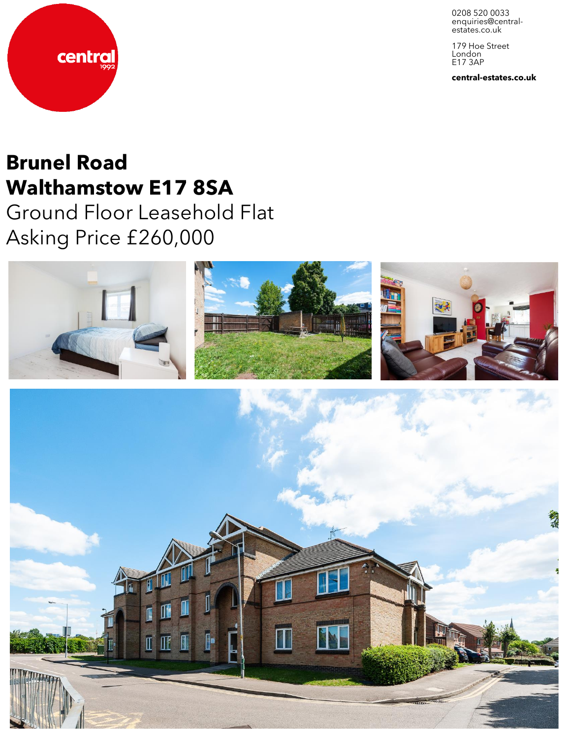0208 520 0033 enquiries@centralestates.co.uk

179 Hoe Street London E17 3AP

central-estates.co.uk



# Brunel Road Walthamstow E17 8SA

Ground Floor Leasehold Flat Asking Price £260,000